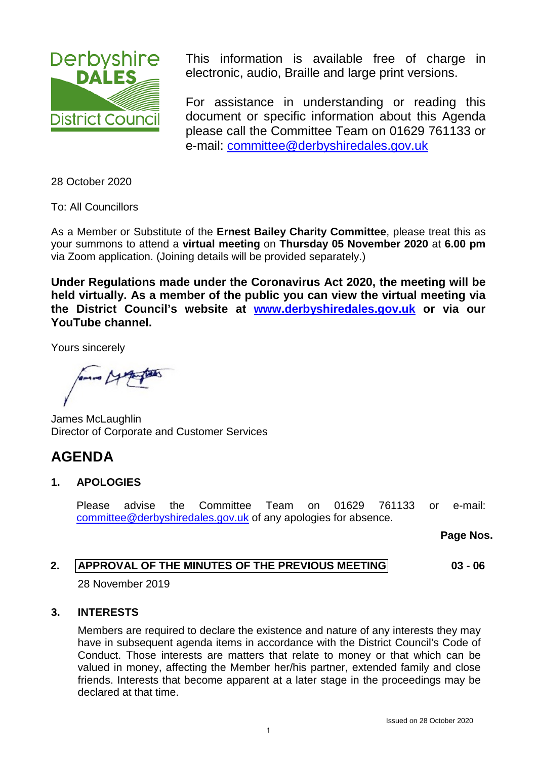<span id="page-0-0"></span>

This information is available free of charge in electronic, audio, Braille and large print versions.

For assistance in understanding or reading this document or specific information about this Agenda please call the Committee Team on 01629 761133 or e-mail: [committee@derbyshiredales.gov.uk](mailto:committee@derbyshiredales.gov.uk) 

28 October 2020

To: All Councillors

As a Member or Substitute of the **Ernest Bailey Charity Committee**, please treat this as your summons to attend a **virtual meeting** on **Thursday 05 November 2020** at **6.00 pm** via Zoom application. (Joining details will be provided separately.)

**Under Regulations made under the Coronavirus Act 2020, the meeting will be held virtually. As a member of the public you can view the virtual meeting via the District Council's website at [www.derbyshiredales.gov.uk](http://www.derbyshiredales.gov.uk/) or via our YouTube channel.**

Yours sincerely

James McLaughlin Director of Corporate and Customer Services

# **AGENDA**

# **1. APOLOGIES**

Please advise the Committee Team on 01629 761133 or e-mail: [committee@derbyshiredales.gov.uk](mailto:committee@derbyshiredales.gov.uk) of any apologies for absence.

**Page Nos.**

#### **2. [APPROVAL OF THE MINUTES OF THE PREVIOUS MEETING](#page-2-0) 03 - 06**

28 November 2019

# **3. INTERESTS**

Members are required to declare the existence and nature of any interests they may have in subsequent agenda items in accordance with the District Council's Code of Conduct. Those interests are matters that relate to money or that which can be valued in money, affecting the Member her/his partner, extended family and close friends. Interests that become apparent at a later stage in the proceedings may be declared at that time.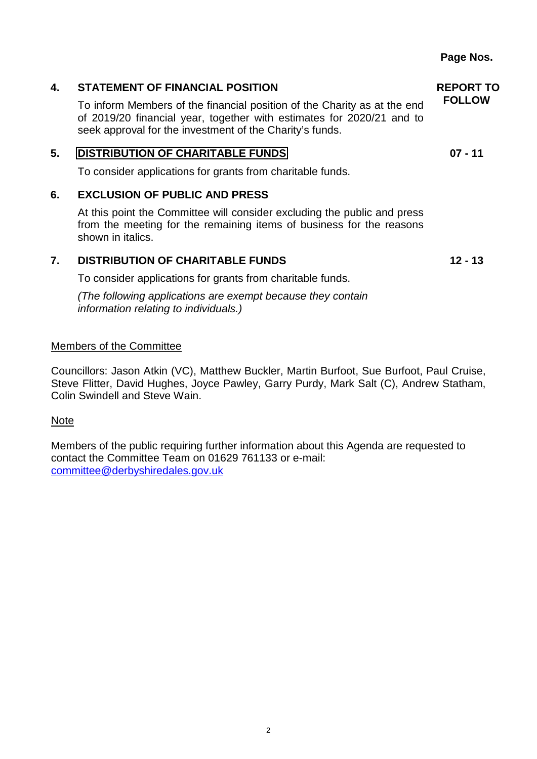# **4. STATEMENT OF FINANCIAL POSITION**

To inform Members of the financial position of the Charity as at the end of 2019/20 financial year, together with estimates for 2020/21 and to seek approval for the investment of the Charity's funds.

# **5. [DISTRIBUTION OF CHARITABLE](#page-6-0) FUNDS**

To consider applications for grants from charitable funds.

# **6. EXCLUSION OF PUBLIC AND PRESS**

At this point the Committee will consider excluding the public and press from the meeting for the remaining items of business for the reasons shown in italics.

# **7. DISTRIBUTION OF CHARITABLE FUNDS**

To consider applications for grants from charitable funds.

*(The following applications are exempt because they contain information relating to individuals.)*

## Members of the Committee

Councillors: Jason Atkin (VC), Matthew Buckler, Martin Burfoot, Sue Burfoot, Paul Cruise, Steve Flitter, David Hughes, Joyce Pawley, Garry Purdy, Mark Salt (C), Andrew Statham, Colin Swindell and Steve Wain.

#### Note

Members of the public requiring further information about this Agenda are requested to contact the Committee Team on 01629 761133 or e-mail: [committee@derbyshiredales.gov.uk](mailto:committee@derbyshiredales.gov.uk)

**REPORT TO FOLLOW**

**07 - 11**

**12 - 13**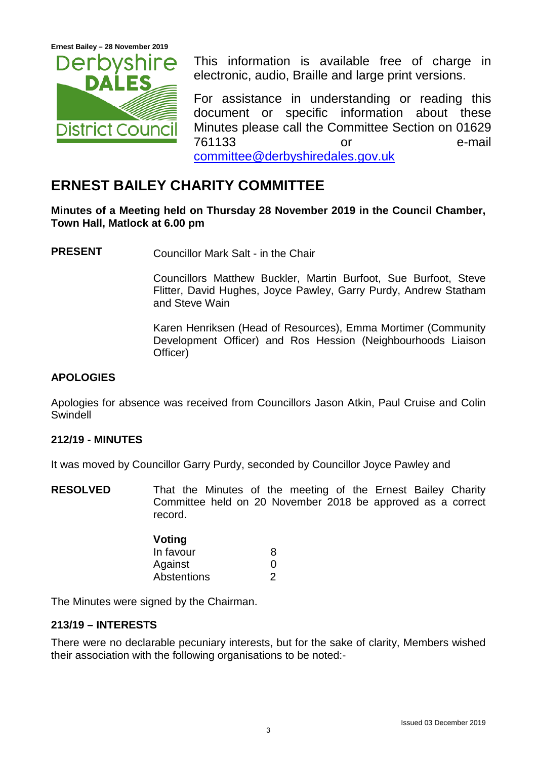<span id="page-2-0"></span>**Ernest Bailey – 28 November 2019** 



This information is available free of charge in electronic, audio, Braille and large print versions.

For assistance in understanding or reading this document or specific information about these Minutes please call the Committee Section on 01629 761133 or e-mail [committee@derbyshiredales.gov.uk](mailto:committee@derbyshiredales.gov.uk)

# **ERNEST BAILEY CHARITY COMMITTEE**

**Minutes of a Meeting held on Thursday 28 November 2019 in the Council Chamber, Town Hall, Matlock at 6.00 pm**

**PRESENT** Councillor Mark Salt - in the Chair

Councillors Matthew Buckler, Martin Burfoot, Sue Burfoot, Steve Flitter, David Hughes, Joyce Pawley, Garry Purdy, Andrew Statham and Steve Wain

Karen Henriksen (Head of Resources), Emma Mortimer (Community Development Officer) and Ros Hession (Neighbourhoods Liaison Officer)

# **APOLOGIES**

Apologies for absence was received from Councillors Jason Atkin, Paul Cruise and Colin Swindell

# **212/19 - MINUTES**

It was moved by Councillor Garry Purdy, seconded by Councillor Joyce Pawley and

**RESOLVED** That the Minutes of the meeting of the Ernest Bailey Charity Committee held on 20 November 2018 be approved as a correct record.

| Voting      |   |
|-------------|---|
| In favour   | 8 |
| Against     | 0 |
| Abstentions | 2 |

The Minutes were signed by the Chairman.

# **213/19 – INTERESTS**

There were no declarable pecuniary interests, but for the sake of clarity, Members wished their association with the following organisations to be noted:-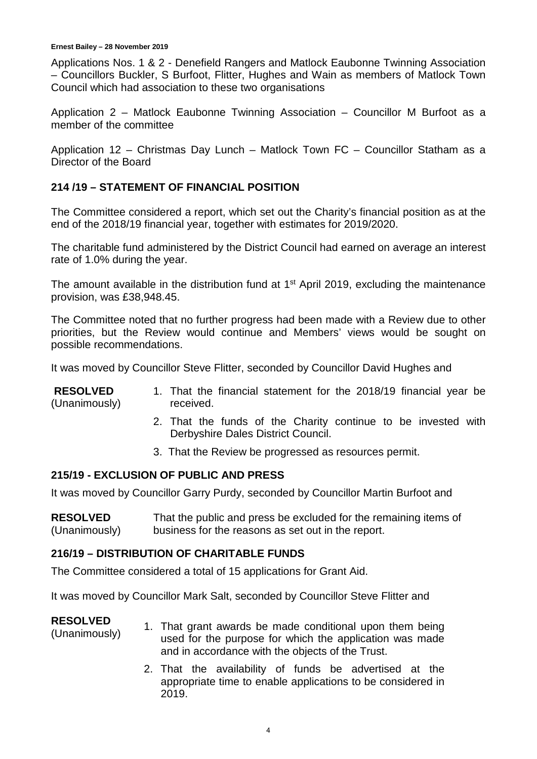#### **Ernest Bailey – 28 November 2019**

Applications Nos. 1 & 2 - Denefield Rangers and Matlock Eaubonne Twinning Association – Councillors Buckler, S Burfoot, Flitter, Hughes and Wain as members of Matlock Town Council which had association to these two organisations

Application 2 – Matlock Eaubonne Twinning Association – Councillor M Burfoot as a member of the committee

Application 12 – Christmas Day Lunch – Matlock Town FC – Councillor Statham as a Director of the Board

# **214 /19 – STATEMENT OF FINANCIAL POSITION**

The Committee considered a report, which set out the Charity's financial position as at the end of the 2018/19 financial year, together with estimates for 2019/2020.

The charitable fund administered by the District Council had earned on average an interest rate of 1.0% during the year.

The amount available in the distribution fund at 1<sup>st</sup> April 2019, excluding the maintenance provision, was £38,948.45.

The Committee noted that no further progress had been made with a Review due to other priorities, but the Review would continue and Members' views would be sought on possible recommendations.

It was moved by Councillor Steve Flitter, seconded by Councillor David Hughes and

| <b>RESOLVED</b> |           |  | 1. That the financial statement for the 2018/19 financial year be |  |  |  |
|-----------------|-----------|--|-------------------------------------------------------------------|--|--|--|
| (Unanimously)   | received. |  |                                                                   |  |  |  |

- 2. That the funds of the Charity continue to be invested with Derbyshire Dales District Council.
- 3. That the Review be progressed as resources permit.

# **215/19 - EXCLUSION OF PUBLIC AND PRESS**

It was moved by Councillor Garry Purdy, seconded by Councillor Martin Burfoot and

**RESOLVED** (Unanimously) That the public and press be excluded for the remaining items of business for the reasons as set out in the report.

# **216/19 – DISTRIBUTION OF CHARITABLE FUNDS**

The Committee considered a total of 15 applications for Grant Aid.

It was moved by Councillor Mark Salt, seconded by Councillor Steve Flitter and

# **RESOLVED**

- (Unanimously) 1. That grant awards be made conditional upon them being used for the purpose for which the application was made and in accordance with the objects of the Trust.
	- 2. That the availability of funds be advertised at the appropriate time to enable applications to be considered in 2019.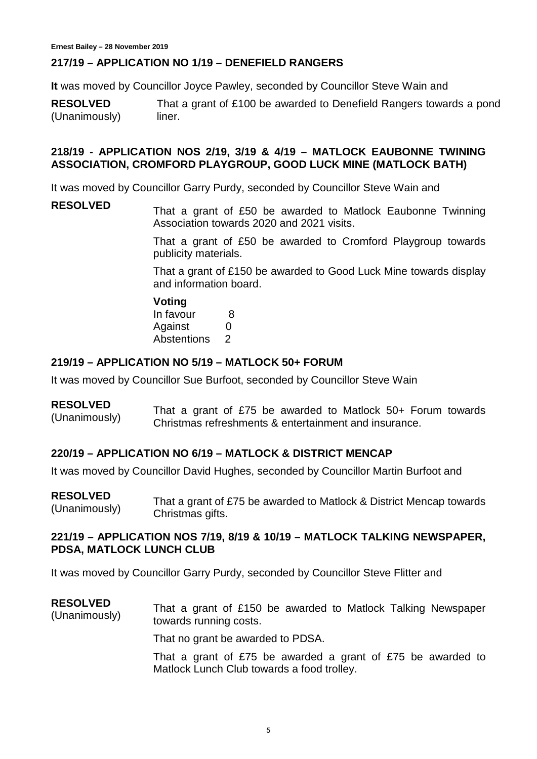# **217/19 – APPLICATION NO 1/19 – DENEFIELD RANGERS**

**It** was moved by Councillor Joyce Pawley, seconded by Councillor Steve Wain and

**RESOLVED** (Unanimously) That a grant of £100 be awarded to Denefield Rangers towards a pond liner.

# **218/19 - APPLICATION NOS 2/19, 3/19 & 4/19 – MATLOCK EAUBONNE TWINING ASSOCIATION, CROMFORD PLAYGROUP, GOOD LUCK MINE (MATLOCK BATH)**

It was moved by Councillor Garry Purdy, seconded by Councillor Steve Wain and

**RESOLVED** That a grant of £50 be awarded to Matlock Eaubonne Twinning Association towards 2020 and 2021 visits.

> That a grant of £50 be awarded to Cromford Playgroup towards publicity materials.

> That a grant of £150 be awarded to Good Luck Mine towards display and information board.

**Voting** In favour 8 Against 0 Abstentions 2

# **219/19 – APPLICATION NO 5/19 – MATLOCK 50+ FORUM**

It was moved by Councillor Sue Burfoot, seconded by Councillor Steve Wain

#### **RESOLVED**

(Unanimously) That a grant of £75 be awarded to Matlock 50+ Forum towards Christmas refreshments & entertainment and insurance.

# **220/19 – APPLICATION NO 6/19 – MATLOCK & DISTRICT MENCAP**

It was moved by Councillor David Hughes, seconded by Councillor Martin Burfoot and

**RESOLVED** RESULVED<br>(Unanimously) That a grant of £75 be awarded to Matlock & District Mencap towards Christmas gifts.

# **221/19 – APPLICATION NOS 7/19, 8/19 & 10/19 – MATLOCK TALKING NEWSPAPER, PDSA, MATLOCK LUNCH CLUB**

It was moved by Councillor Garry Purdy, seconded by Councillor Steve Flitter and

**RESOLVED** RESULVED<br>(Unanimously) That a grant of £150 be awarded to Matlock Talking Newspaper towards running costs.

That no grant be awarded to PDSA.

That a grant of £75 be awarded a grant of £75 be awarded to Matlock Lunch Club towards a food trolley.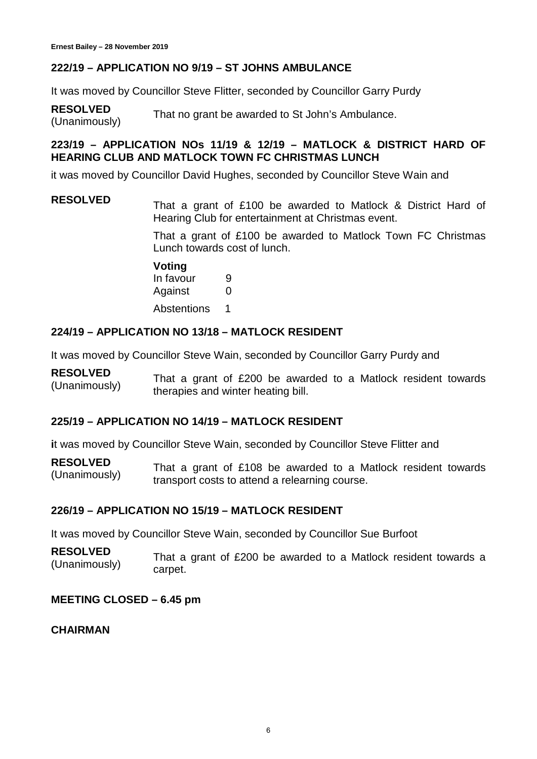# **222/19 – APPLICATION NO 9/19 – ST JOHNS AMBULANCE**

It was moved by Councillor Steve Flitter, seconded by Councillor Garry Purdy

**RESOLVED RESOLVED** That no grant be awarded to St John's Ambulance.<br>(Unanimously)

# **223/19 – APPLICATION NOs 11/19 & 12/19 – MATLOCK & DISTRICT HARD OF HEARING CLUB AND MATLOCK TOWN FC CHRISTMAS LUNCH**

it was moved by Councillor David Hughes, seconded by Councillor Steve Wain and

# **RESOLVED** That a grant of £100 be awarded to Matlock & District Hard of Hearing Club for entertainment at Christmas event.

That a grant of £100 be awarded to Matlock Town FC Christmas Lunch towards cost of lunch.

**Voting**

In favour 9 Against 0 Abstentions 1

# **224/19 – APPLICATION NO 13/18 – MATLOCK RESIDENT**

It was moved by Councillor Steve Wain, seconded by Councillor Garry Purdy and

#### **RESOLVED**  $($ Unanimously and That a grant of £200 be awarded to a Matlock resident towards (Unanimously) therapies and winter heating bill.

# **225/19 – APPLICATION NO 14/19 – MATLOCK RESIDENT**

**i**t was moved by Councillor Steve Wain, seconded by Councillor Steve Flitter and

**RESOLVED** RESULVED<br>(Unanimously) That a grant of £108 be awarded to a Matlock resident towards transport costs to attend a relearning course.

# **226/19 – APPLICATION NO 15/19 – MATLOCK RESIDENT**

It was moved by Councillor Steve Wain, seconded by Councillor Sue Burfoot

**RESOLVED** (Unanimously) That a grant of £200 be awarded to a Matlock resident towards a carpet.

# **MEETING CLOSED – 6.45 pm**

# **CHAIRMAN**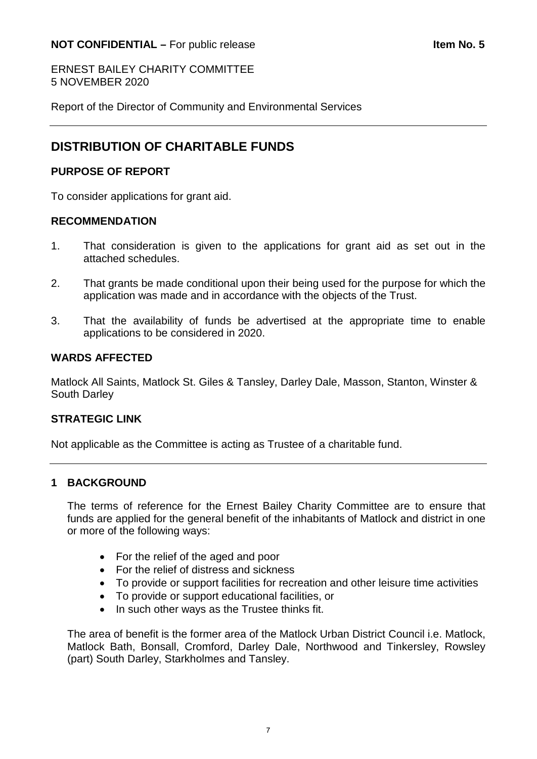<span id="page-6-0"></span>ERNEST BAILEY CHARITY COMMITTEE 5 NOVEMBER 2020

Report of the Director of Community and Environmental Services

# **DISTRIBUTION OF CHARITABLE FUNDS**

# **PURPOSE OF REPORT**

To consider applications for grant aid.

# **RECOMMENDATION**

- 1. That consideration is given to the applications for grant aid as set out in the attached schedules.
- 2. That grants be made conditional upon their being used for the purpose for which the application was made and in accordance with the objects of the Trust.
- 3. That the availability of funds be advertised at the appropriate time to enable applications to be considered in 2020.

# **WARDS AFFECTED**

Matlock All Saints, Matlock St. Giles & Tansley, Darley Dale, Masson, Stanton, Winster & South Darley

# **STRATEGIC LINK**

Not applicable as the Committee is acting as Trustee of a charitable fund.

# **1 BACKGROUND**

The terms of reference for the Ernest Bailey Charity Committee are to ensure that funds are applied for the general benefit of the inhabitants of Matlock and district in one or more of the following ways:

- For the relief of the aged and poor
- For the relief of distress and sickness
- To provide or support facilities for recreation and other leisure time activities
- To provide or support educational facilities, or
- In such other ways as the Trustee thinks fit.

The area of benefit is the former area of the Matlock Urban District Council i.e. Matlock, Matlock Bath, Bonsall, Cromford, Darley Dale, Northwood and Tinkersley, Rowsley (part) South Darley, Starkholmes and Tansley.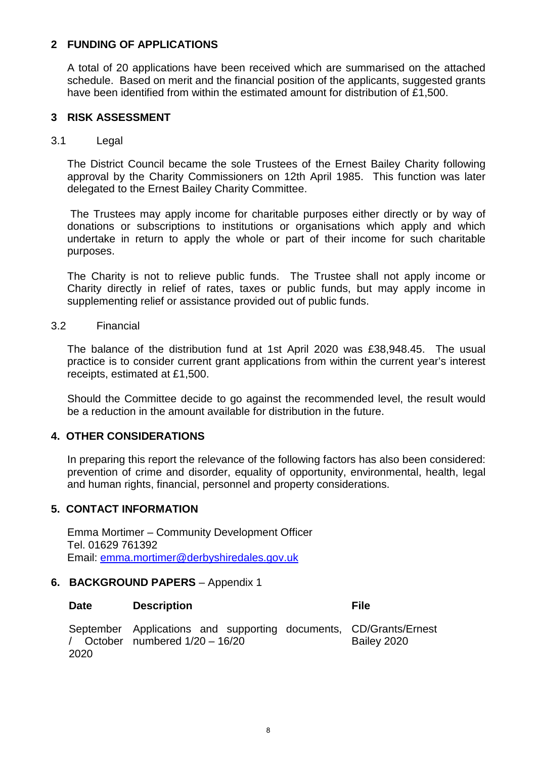# **2 FUNDING OF APPLICATIONS**

A total of 20 applications have been received which are summarised on the attached schedule. Based on merit and the financial position of the applicants, suggested grants have been identified from within the estimated amount for distribution of £1,500.

# **3 RISK ASSESSMENT**

# 3.1 Legal

The District Council became the sole Trustees of the Ernest Bailey Charity following approval by the Charity Commissioners on 12th April 1985. This function was later delegated to the Ernest Bailey Charity Committee.

The Trustees may apply income for charitable purposes either directly or by way of donations or subscriptions to institutions or organisations which apply and which undertake in return to apply the whole or part of their income for such charitable purposes.

The Charity is not to relieve public funds. The Trustee shall not apply income or Charity directly in relief of rates, taxes or public funds, but may apply income in supplementing relief or assistance provided out of public funds.

## 3.2 Financial

The balance of the distribution fund at 1st April 2020 was £38,948.45. The usual practice is to consider current grant applications from within the current year's interest receipts, estimated at £1,500.

Should the Committee decide to go against the recommended level, the result would be a reduction in the amount available for distribution in the future.

# **4. OTHER CONSIDERATIONS**

In preparing this report the relevance of the following factors has also been considered: prevention of crime and disorder, equality of opportunity, environmental, health, legal and human rights, financial, personnel and property considerations.

# **5. CONTACT INFORMATION**

Emma Mortimer – Community Development Officer Tel. 01629 761392 Email: [emma.mortimer@derbyshiredales.gov.uk](mailto:emma.mortimer@derbyshiredales.gov.uk)

# **6. BACKGROUND PAPERS** – Appendix 1

|       |                                   |  | September Applications and supporting documents, CD/Grants/Ernest |
|-------|-----------------------------------|--|-------------------------------------------------------------------|
|       | / October numbered $1/20 - 16/20$ |  | Bailey 2020                                                       |
| -2020 |                                   |  |                                                                   |

**Date Description File**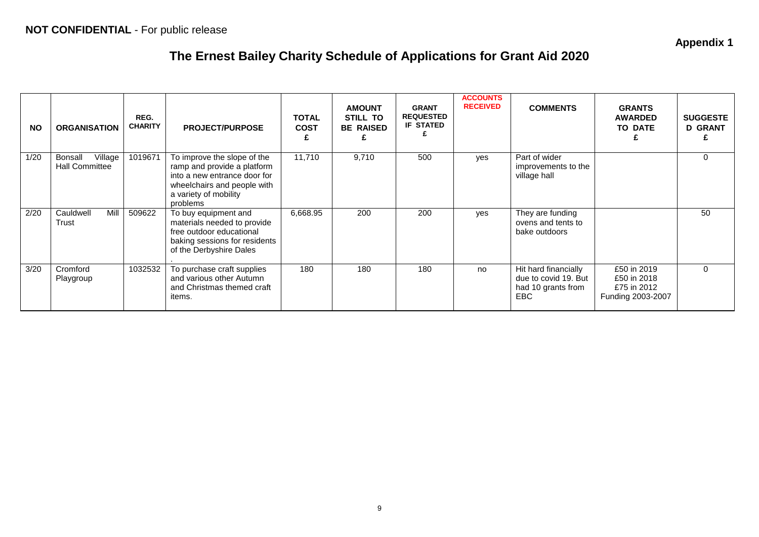**Appendix 1**

# **The Ernest Bailey Charity Schedule of Applications for Grant Aid 2020**

| <b>NO</b> | <b>ORGANISATION</b>                         | REG.<br><b>CHARITY</b> | <b>PROJECT/PURPOSE</b>                                                                                                                                         | <b>TOTAL</b><br><b>COST</b><br>£ | <b>AMOUNT</b><br>STILL TO<br><b>BE RAISED</b> | <b>GRANT</b><br><b>REQUESTED</b><br><b>IF STATED</b> | <b>ACCOUNTS</b><br><b>RECEIVED</b> | <b>COMMENTS</b>                                                                  | <b>GRANTS</b><br><b>AWARDED</b><br><b>TO DATE</b>              | <b>SUGGESTE</b><br><b>D GRANT</b> |
|-----------|---------------------------------------------|------------------------|----------------------------------------------------------------------------------------------------------------------------------------------------------------|----------------------------------|-----------------------------------------------|------------------------------------------------------|------------------------------------|----------------------------------------------------------------------------------|----------------------------------------------------------------|-----------------------------------|
| 1/20      | Village<br>Bonsall<br><b>Hall Committee</b> | 1019671                | To improve the slope of the<br>ramp and provide a platform<br>into a new entrance door for<br>wheelchairs and people with<br>a variety of mobility<br>problems | 11,710                           | 9,710                                         | 500                                                  | yes                                | Part of wider<br>improvements to the<br>village hall                             |                                                                | $\Omega$                          |
| 2/20      | Cauldwell<br>Mill<br>Trust                  | 509622                 | To buy equipment and<br>materials needed to provide<br>free outdoor educational<br>baking sessions for residents<br>of the Derbyshire Dales                    | 6,668.95                         | 200                                           | 200                                                  | yes                                | They are funding<br>ovens and tents to<br>bake outdoors                          |                                                                | 50                                |
| 3/20      | Cromford<br>Playgroup                       | 1032532                | To purchase craft supplies<br>and various other Autumn<br>and Christmas themed craft<br>items.                                                                 | 180                              | 180                                           | 180                                                  | no                                 | Hit hard financially<br>due to covid 19. But<br>had 10 grants from<br><b>EBC</b> | £50 in 2019<br>£50 in 2018<br>£75 in 2012<br>Funding 2003-2007 | $\Omega$                          |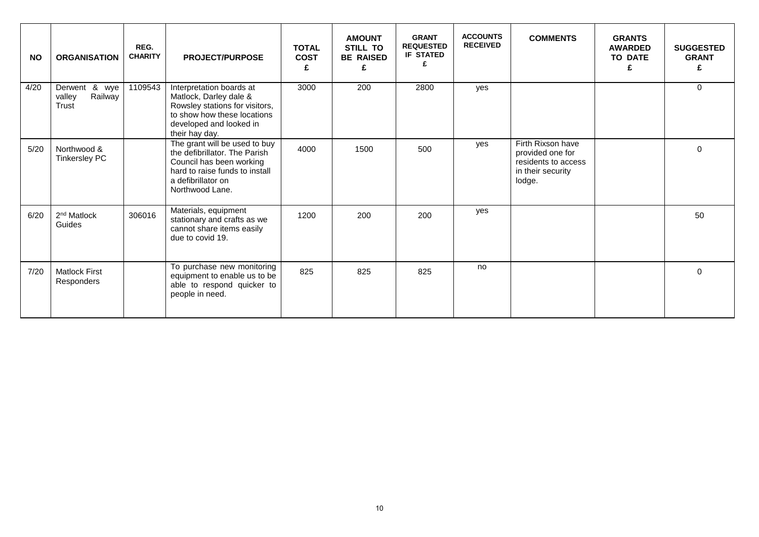| <b>NO</b> | <b>ORGANISATION</b>                         | REG.<br><b>CHARITY</b> | <b>PROJECT/PURPOSE</b>                                                                                                                                                | <b>TOTAL</b><br><b>COST</b><br>£ | <b>AMOUNT</b><br><b>STILL TO</b><br><b>BE RAISED</b><br>£ | <b>GRANT</b><br><b>REQUESTED</b><br><b>IF STATED</b> | <b>ACCOUNTS</b><br><b>RECEIVED</b> | <b>COMMENTS</b>                                                                             | <b>GRANTS</b><br><b>AWARDED</b><br><b>TO DATE</b> | <b>SUGGESTED</b><br><b>GRANT</b><br>£ |
|-----------|---------------------------------------------|------------------------|-----------------------------------------------------------------------------------------------------------------------------------------------------------------------|----------------------------------|-----------------------------------------------------------|------------------------------------------------------|------------------------------------|---------------------------------------------------------------------------------------------|---------------------------------------------------|---------------------------------------|
| 4/20      | Derwent & wye<br>Railway<br>valley<br>Trust | 1109543                | Interpretation boards at<br>Matlock, Darley dale &<br>Rowsley stations for visitors,<br>to show how these locations<br>developed and looked in<br>their hay day.      | 3000                             | 200                                                       | 2800                                                 | yes                                |                                                                                             |                                                   | $\Omega$                              |
| 5/20      | Northwood &<br><b>Tinkersley PC</b>         |                        | The grant will be used to buy<br>the defibrillator. The Parish<br>Council has been working<br>hard to raise funds to install<br>a defibrillator on<br>Northwood Lane. | 4000                             | 1500                                                      | 500                                                  | yes                                | Firth Rixson have<br>provided one for<br>residents to access<br>in their security<br>lodge. |                                                   | $\Omega$                              |
| 6/20      | 2 <sup>nd</sup> Matlock<br>Guides           | 306016                 | Materials, equipment<br>stationary and crafts as we<br>cannot share items easily<br>due to covid 19.                                                                  | 1200                             | 200                                                       | 200                                                  | yes                                |                                                                                             |                                                   | 50                                    |
| 7/20      | <b>Matlock First</b><br>Responders          |                        | To purchase new monitoring<br>equipment to enable us to be<br>able to respond quicker to<br>people in need.                                                           | 825                              | 825                                                       | 825                                                  | no                                 |                                                                                             |                                                   | $\Omega$                              |